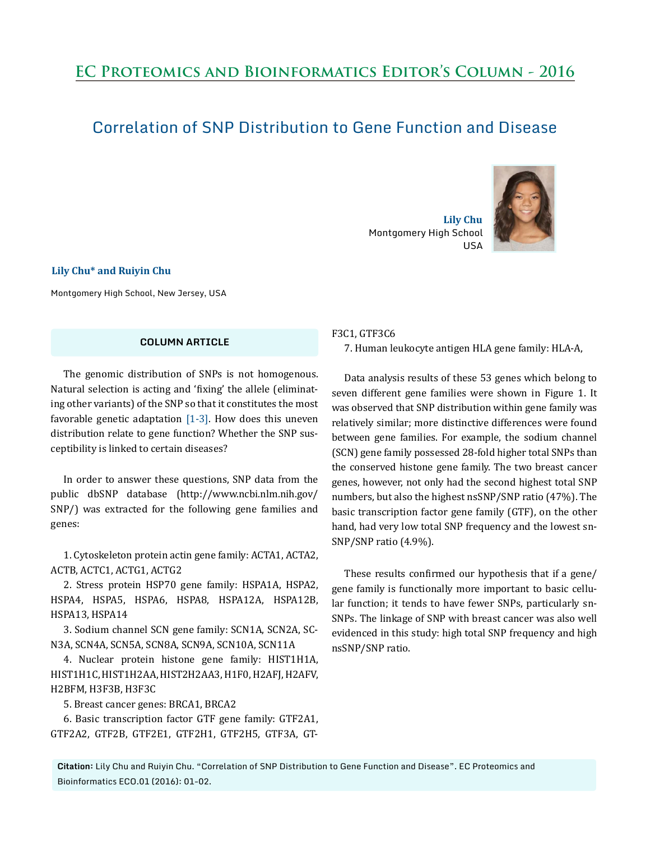# **EC Proteomics and Bioinformatics Editor's Column - 2016**

## Correlation of SNP Distribution to Gene Function and Disease

 **Lily Chu** Montgomery High School USA



**Lily Chu\* and Ruiyin Chu**

Montgomery High School, New Jersey, USA

#### **COLUMN ARTICLE**

The genomic distribution of SNPs is not homogenous. Natural selection is acting and 'fixing' the allele (eliminating other variants) of the SNP so that it constitutes the most favorable genetic adaptation  $[1-3]$ . How does this uneven distribution relate to gene function? Whether the SNP susceptibility is linked to certain diseases?

In order to answer these questions, SNP data from the public dbSNP database (http://www.ncbi.nlm.nih.gov/ SNP/) was extracted for the following gene families and genes:

1. Cytoskeleton protein actin gene family: ACTA1, ACTA2, ACTB, ACTC1, ACTG1, ACTG2

2. Stress protein HSP70 gene family: HSPA1A, HSPA2, HSPA4, HSPA5, HSPA6, HSPA8, HSPA12A, HSPA12B, HSPA13, HSPA14

3. Sodium channel SCN gene family: SCN1A, SCN2A, SC-N3A, SCN4A, SCN5A, SCN8A, SCN9A, SCN10A, SCN11A

4. Nuclear protein histone gene family: HIST1H1A, HIST1H1C, HIST1H2AA, HIST2H2AA3, H1F0, H2AFJ, H2AFV, H2BFM, H3F3B, H3F3C

5. Breast cancer genes: BRCA1, BRCA2

6. Basic transcription factor GTF gene family: GTF2A1, GTF2A2, GTF2B, GTF2E1, GTF2H1, GTF2H5, GTF3A, GT-

#### F3C1, GTF3C6

7. Human leukocyte antigen HLA gene family: HLA-A,

Data analysis results of these 53 genes which belong to seven different gene families were shown in Figure 1. It was observed that SNP distribution within gene family was relatively similar; more distinctive differences were found between gene families. For example, the sodium channel (SCN) gene family possessed 28-fold higher total SNPs than the conserved histone gene family. The two breast cancer genes, however, not only had the second highest total SNP numbers, but also the highest nsSNP/SNP ratio (47%). The basic transcription factor gene family (GTF), on the other hand, had very low total SNP frequency and the lowest sn-SNP/SNP ratio (4.9%).

These results confirmed our hypothesis that if a gene/ gene family is functionally more important to basic cellular function; it tends to have fewer SNPs, particularly sn-SNPs. The linkage of SNP with breast cancer was also well evidenced in this study: high total SNP frequency and high nsSNP/SNP ratio.

**Citation:** Lily Chu and Ruiyin Chu. "Correlation of SNP Distribution to Gene Function and Disease". EC Proteomics and Bioinformatics ECO.01 (2016): 01-02.